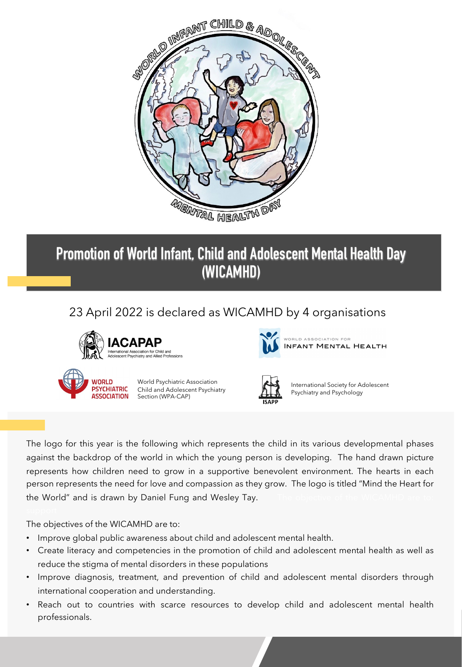

# **Promotion of World Infant, Child and Adolescent Mental Health Day (WICAMHD)**

## 23 April 2022 is declared as WICAMHD by 4 organisations





ORLD ASSOCIATION FOR INFANT MENTAL HEALTH



World Psychiatric Association Child and Adolescent Psychiatry Section (WPA-CAP)



International Society for Adolescent Psychiatry and Psychology

The logo for this year is the following which represents the child in its various developmental phases against the backdrop of the world in which the young person is developing. The hand drawn picture represents how children need to grow in a supportive benevolent environment. The hearts in each person represents the need for love and compassion as they grow. The logo is titled "Mind the Heart for the World" and is drawn by Daniel Fung and Wesley Tay.

The objectives of the WICAMHD are to:

- Improve global public awareness about child and adolescent mental health.
- Create literacy and competencies in the promotion of child and adolescent mental health as well as reduce the stigma of mental disorders in these populations
- Improve diagnosis, treatment, and prevention of child and adolescent mental disorders through international cooperation and understanding.
- Reach out to countries with scarce resources to develop child and adolescent mental health professionals.